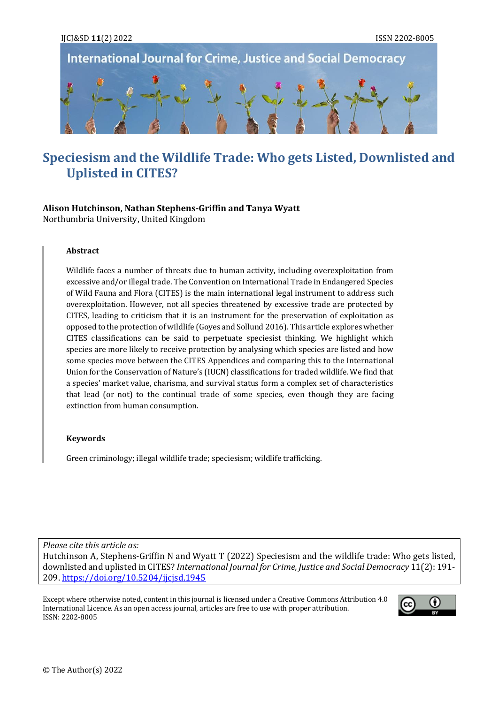

# **Speciesism and the Wildlife Trade: Who gets Listed, Downlisted and Uplisted in CITES?**

#### **Alison Hutchinson, Nathan Stephens-Griffin and Tanya Wyatt** Northumbria University, United Kingdom

#### **Abstract**

Wildlife faces a number of threats due to human activity, including overexploitation from excessive and/or illegal trade. The Convention on International Trade in Endangered Species of Wild Fauna and Flora (CITES) is the main international legal instrument to address such overexploitation. However, not all species threatened by excessive trade are protected by CITES, leading to criticism that it is an instrument for the preservation of exploitation as opposed to the protection of wildlife (Goyes and Sollund 2016). This article explores whether CITES classifications can be said to perpetuate speciesist thinking. We highlight which species are more likely to receive protection by analysing which species are listed and how some species move between the CITES Appendices and comparing this to the International Union for the Conservation of Nature's (IUCN) classifications for traded wildlife. We find that a species' market value, charisma, and survival status form a complex set of characteristics that lead (or not) to the continual trade of some species, even though they are facing extinction from human consumption.

#### **Keywords**

Green criminology; illegal wildlife trade; speciesism; wildlife trafficking.

*Please cite this article as:* Hutchinson A, Stephens-Griffin N and Wyatt T (2022) Speciesism and the wildlife trade: Who gets listed, downlisted and uplisted in CITES? *International Journal for Crime, Justice and Social Democracy* 11(2): 191- 209.<https://doi.org/10.5204/ijcjsd.1945>

Except where otherwise noted, content in this journal is licensed under [a Creative Commons Attribution 4.0](https://creativecommons.org/licenses/by/4.0/)  [International Licence.](https://creativecommons.org/licenses/by/4.0/) As an open access journal, articles are free to use with proper attribution. ISSN: 2202-8005

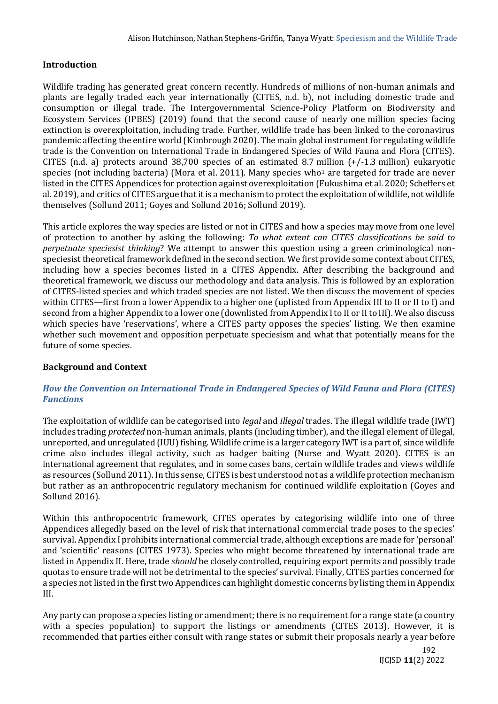# **Introduction**

Wildlife trading has generated great concern recently. Hundreds of millions of non-human animals and plants are legally traded each year internationally (CITES, n.d. b), not including domestic trade and consumption or illegal trade. The Intergovernmental Science-Policy Platform on Biodiversity and Ecosystem Services (IPBES) (2019) found that the second cause of nearly one million species facing extinction is overexploitation, including trade. Further, wildlife trade has been linked to the coronavirus pandemic affecting the entire world (Kimbrough 2020). The main global instrument for regulating wildlife trade is the Convention on International Trade in Endangered Species of Wild Fauna and Flora (CITES). CITES (n.d. a) protects around 38,700 species of an estimated 8.7 million (+/-1.3 million) eukaryotic species (not including bacteria) (Mora et al. 2011). Many species who<sup>1</sup> are targeted for trade are never listed in the CITES Appendices for protection against overexploitation (Fukushima et al. 2020; Scheffers et al. 2019), and critics of CITES argue that it is a mechanism to protect the exploitation of wildlife, not wildlife themselves (Sollund 2011; Goyes and Sollund 2016; Sollund 2019).

This article explores the way species are listed or not in CITES and how a species may move from one level of protection to another by asking the following: *To what extent can CITES classifications be said to perpetuate speciesist thinking*? We attempt to answer this question using a green criminological nonspeciesist theoretical framework defined in the second section. We first provide some context about CITES, including how a species becomes listed in a CITES Appendix. After describing the background and theoretical framework, we discuss our methodology and data analysis. This is followed by an exploration of CITES-listed species and which traded species are not listed. We then discuss the movement of species within CITES—first from a lower Appendix to a higher one (uplisted from Appendix III to II or II to I) and second from a higher Appendix to a lower one (downlisted from Appendix I to II or II to III). We also discuss which species have 'reservations', where a CITES party opposes the species' listing. We then examine whether such movement and opposition perpetuate speciesism and what that potentially means for the future of some species.

# **Background and Context**

### *How the Convention on International Trade in Endangered Species of Wild Fauna and Flora (CITES) Functions*

The exploitation of wildlife can be categorised into *legal* and *illegal* trades. The illegal wildlife trade (IWT) includes trading *protected* non-human animals, plants (including timber), and the illegal element of illegal, unreported, and unregulated (IUU) fishing. Wildlife crime is a larger category IWT is a part of, since wildlife crime also includes illegal activity, such as badger baiting (Nurse and Wyatt 2020). CITES is an international agreement that regulates, and in some cases bans, certain wildlife trades and views wildlife as resources (Sollund 2011). In this sense, CITES is best understood not as a wildlife protection mechanism but rather as an anthropocentric regulatory mechanism for continued wildlife exploitation (Goyes and Sollund 2016).

Within this anthropocentric framework, CITES operates by categorising wildlife into one of three Appendices allegedly based on the level of risk that international commercial trade poses to the species' survival. Appendix I prohibits international commercial trade, although exceptions are made for 'personal' and 'scientific' reasons (CITES 1973). Species who might become threatened by international trade are listed in Appendix II. Here, trade *should* be closely controlled, requiring export permits and possibly trade quotas to ensure trade will not be detrimental to the species' survival. Finally, CITES parties concerned for a species not listed in the first two Appendices can highlight domestic concerns by listing them in Appendix III.

Any party can propose a species listing or amendment; there is no requirement for a range state (a country with a species population) to support the listings or amendments (CITES 2013). However, it is recommended that parties either consult with range states or submit their proposals nearly a year before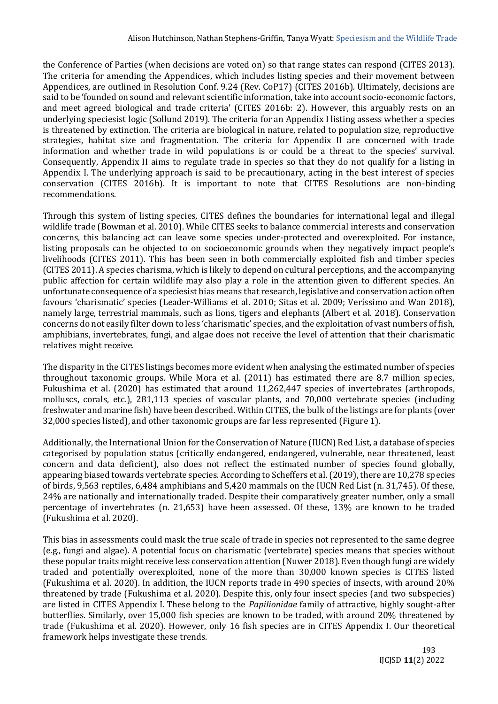the Conference of Parties (when decisions are voted on) so that range states can respond (CITES 2013). The criteria for amending the Appendices, which includes listing species and their movement between Appendices, are outlined in Resolution Conf. 9.24 (Rev. CoP17) (CITES 2016b). Ultimately, decisions are said to be 'founded on sound and relevant scientific information, take into account socio-economic factors, and meet agreed biological and trade criteria' (CITES 2016b: 2). However, this arguably rests on an underlying speciesist logic (Sollund 2019). The criteria for an Appendix I listing assess whether a species is threatened by extinction. The criteria are biological in nature, related to population size, reproductive strategies, habitat size and fragmentation. The criteria for Appendix II are concerned with trade information and whether trade in wild populations is or could be a threat to the species' survival. Consequently, Appendix II aims to regulate trade in species so that they do not qualify for a listing in Appendix I. The underlying approach is said to be precautionary, acting in the best interest of species conservation (CITES 2016b). It is important to note that CITES Resolutions are non-binding recommendations.

Through this system of listing species, CITES defines the boundaries for international legal and illegal wildlife trade (Bowman et al. 2010). While CITES seeks to balance commercial interests and conservation concerns, this balancing act can leave some species under-protected and overexploited. For instance, listing proposals can be objected to on socioeconomic grounds when they negatively impact people's livelihoods (CITES 2011). This has been seen in both commercially exploited fish and timber species (CITES 2011). A species charisma, which is likely to depend on cultural perceptions, and the accompanying public affection for certain wildlife may also play a role in the attention given to different species. An unfortunate consequence of a speciesist bias means that research, legislative and conservation action often favours 'charismatic' species (Leader-Williams et al. 2010; Sitas et al. 2009; Veríssimo and Wan 2018), namely large, terrestrial mammals, such as lions, tigers and elephants (Albert et al. 2018). Conservation concerns do not easily filter down to less 'charismatic' species, and the exploitation of vast numbers of fish, amphibians, invertebrates, fungi, and algae does not receive the level of attention that their charismatic relatives might receive.

The disparity in the CITES listings becomes more evident when analysing the estimated number of species throughout taxonomic groups. While Mora et al. (2011) has estimated there are 8.7 million species, Fukushima et al. (2020) has estimated that around 11,262,447 species of invertebrates (arthropods, molluscs, corals, etc.), 281,113 species of vascular plants, and 70,000 vertebrate species (including freshwater and marine fish) have been described. Within CITES, the bulk of the listings are for plants (over 32,000 species listed), and other taxonomic groups are far less represented (Figure 1).

Additionally, the International Union for the Conservation of Nature (IUCN) Red List, a database of species categorised by population status (critically endangered, endangered, vulnerable, near threatened, least concern and data deficient), also does not reflect the estimated number of species found globally, appearing biased towards vertebrate species. According to Scheffers et al. (2019), there are 10,278 species of birds, 9,563 reptiles, 6,484 amphibians and 5,420 mammals on the IUCN Red List (n. 31,745). Of these, 24% are nationally and internationally traded. Despite their comparatively greater number, only a small percentage of invertebrates (n. 21,653) have been assessed. Of these, 13% are known to be traded (Fukushima et al. 2020).

This bias in assessments could mask the true scale of trade in species not represented to the same degree (e.g., fungi and algae). A potential focus on charismatic (vertebrate) species means that species without these popular traits might receive less conservation attention (Nuwer 2018). Even though fungi are widely traded and potentially overexploited, none of the more than 30,000 known species is CITES listed (Fukushima et al. 2020). In addition, the IUCN reports trade in 490 species of insects, with around 20% threatened by trade (Fukushima et al. 2020). Despite this, only four insect species (and two subspecies) are listed in CITES Appendix I. These belong to the *Papilionidae* family of attractive, highly sought-after butterflies. Similarly, over 15,000 fish species are known to be traded, with around 20% threatened by trade (Fukushima et al. 2020). However, only 16 fish species are in CITES Appendix I. Our theoretical framework helps investigate these trends.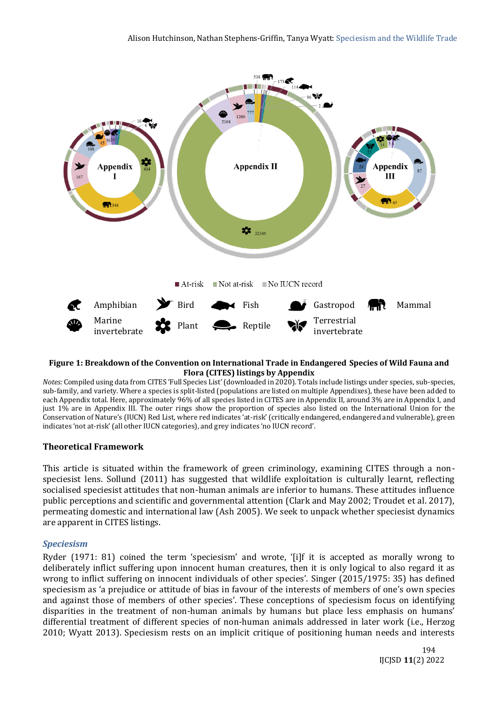

#### **Figure 1: Breakdown of the Convention on International Trade in Endangered Species of Wild Fauna and Flora (CITES) listings by Appendix**

*Notes:* Compiled using data from CITES 'Full Species List' (downloaded in 2020). Totals include listings under species, sub-species, sub-family, and variety. Where a species is split-listed (populations are listed on multiple Appendixes), these have been added to each Appendix total. Here, approximately 96% of all species listed in CITES are in Appendix II, around 3% are in Appendix I, and just 1% are in Appendix III. The outer rings show the proportion of species also listed on the International Union for the Conservation of Nature's (IUCN) Red List, where red indicates 'at-risk' (critically endangered, endangered and vulnerable), green indicates 'not at-risk' (all other IUCN categories), and grey indicates 'no IUCN record'.

### **Theoretical Framework**

This article is situated within the framework of green criminology, examining CITES through a nonspeciesist lens. Sollund (2011) has suggested that wildlife exploitation is culturally learnt, reflecting socialised speciesist attitudes that non-human animals are inferior to humans. These attitudes influence public perceptions and scientific and governmental attention (Clark and May 2002; Troudet et al. 2017), permeating domestic and international law (Ash 2005). We seek to unpack whether speciesist dynamics are apparent in CITES listings.

### *Speciesism*

Ryder (1971: 81) coined the term 'speciesism' and wrote, '[i]f it is accepted as morally wrong to deliberately inflict suffering upon innocent human creatures, then it is only logical to also regard it as wrong to inflict suffering on innocent individuals of other species'. Singer (2015/1975: 35) has defined speciesism as 'a prejudice or attitude of bias in favour of the interests of members of one's own species and against those of members of other species'. These conceptions of speciesism focus on identifying disparities in the treatment of non-human animals by humans but place less emphasis on humans' differential treatment of different species of non-human animals addressed in later work (i.e., Herzog 2010; Wyatt 2013). Speciesism rests on an implicit critique of positioning human needs and interests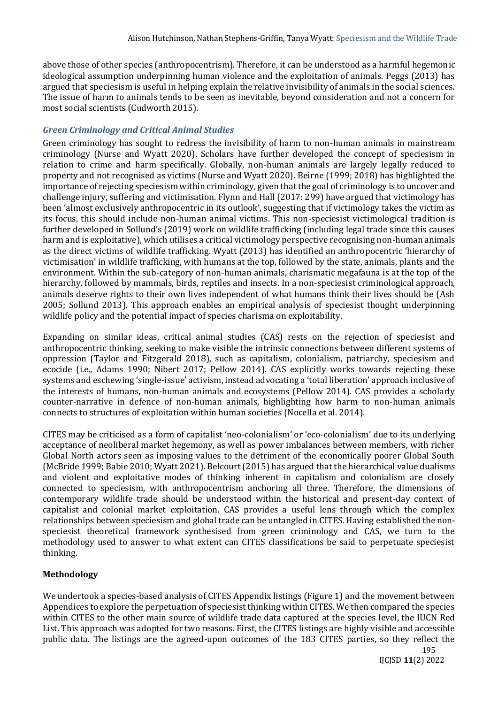above those of other species (anthropocentrism). Therefore, it can be understood as a harmful hegemonic ideological assumption underpinning human violence and the exploitation of animals. Peggs (2013) has argued that speciesism is useful in helping explain the relative invisibility of animals in the social sciences. The issue of harm to animals tends to be seen as inevitable, beyond consideration and not a concern for most social scientists (Cudworth 2015).

# *Green Criminology and Critical Animal Studies*

Green criminology has sought to redress the invisibility of harm to non-human animals in mainstream criminology (Nurse and Wyatt 2020). Scholars have further developed the concept of speciesism in relation to crime and harm specifically. Globally, non-human animals are largely legally reduced to property and not recognised as victims (Nurse and Wyatt 2020). Beirne (1999; 2018) has highlighted the importance of rejecting speciesism within criminology, given that the goal of criminology is to uncover and challenge injury, suffering and victimisation. Flynn and Hall (2017: 299) have argued that victimology has been 'almost exclusively anthropocentric in its outlook', suggesting that if victimology takes the victim as its focus, this should include non-human animal victims. This non-speciesist victimological tradition is further developed in Sollund's (2019) work on wildlife trafficking (including legal trade since this causes harm and is exploitative), which utilises a critical victimology perspective recognising non-human animals as the direct victims of wildlife trafficking. Wyatt (2013) has identified an anthropocentric 'hierarchy of victimisation' in wildlife trafficking, with humans at the top, followed by the state, animals, plants and the environment. Within the sub-category of non-human animals, charismatic megafauna is at the top of the hierarchy, followed by mammals, birds, reptiles and insects. In a non-speciesist criminological approach, animals deserve rights to their own lives independent of what humans think their lives should be (Ash 2005; Sollund 2013). This approach enables an empirical analysis of speciesist thought underpinning wildlife policy and the potential impact of species charisma on exploitability.

Expanding on similar ideas, critical animal studies (CAS) rests on the rejection of speciesist and anthropocentric thinking, seeking to make visible the intrinsic connections between different systems of oppression (Taylor and Fitzgerald 2018), such as capitalism, colonialism, patriarchy, speciesism and ecocide (i.e., Adams 1990; Nibert 2017; Pellow 2014). CAS explicitly works towards rejecting these systems and eschewing 'single-issue' activism, instead advocating a 'total liberation' approach inclusive of the interests of humans, non-human animals and ecosystems (Pellow 2014). CAS provides a scholarly counter-narrative in defence of non-human animals, highlighting how harm to non-human animals connects to structures of exploitation within human societies (Nocella et al. 2014).

CITES may be criticised as a form of capitalist 'neo-colonialism' or 'eco-colonialism' due to its underlying acceptance of neoliberal market hegemony, as well as power imbalances between members, with richer Global North actors seen as imposing values to the detriment of the economically poorer Global South (McBride 1999; Babie 2010; Wyatt 2021). Belcourt (2015) has argued that the hierarchical value dualisms and violent and exploitative modes of thinking inherent in capitalism and colonialism are closely connected to speciesism, with anthropocentrism anchoring all three. Therefore, the dimensions of contemporary wildlife trade should be understood within the historical and present-day context of capitalist and colonial market exploitation. CAS provides a useful lens through which the complex relationships between speciesism and global trade can be untangled in CITES. Having established the nonspeciesist theoretical framework synthesised from green criminology and CAS, we turn to the methodology used to answer to what extent can CITES classifications be said to perpetuate speciesist thinking.

# **Methodology**

We undertook a species-based analysis of CITES Appendix listings (Figure 1) and the movement between Appendices to explore the perpetuation of speciesist thinking within CITES. We then compared the species within CITES to the other main source of wildlife trade data captured at the species level, the IUCN Red List. This approach was adopted for two reasons. First, the CITES listings are highly visible and accessible public data. The listings are the agreed-upon outcomes of the 183 CITES parties, so they reflect the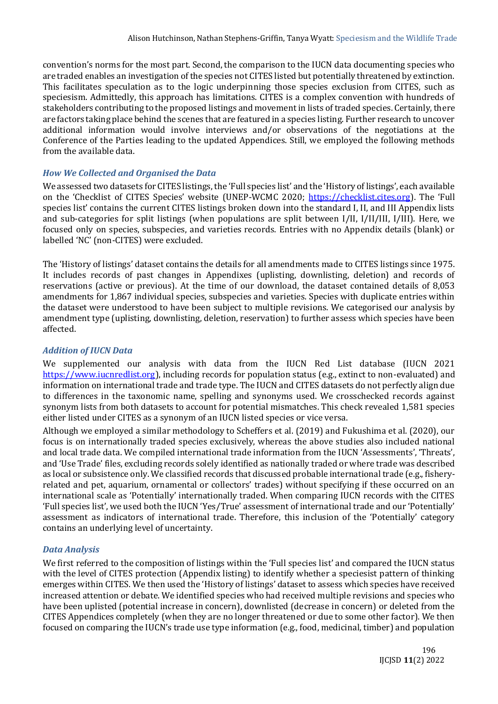convention's norms for the most part. Second, the comparison to the IUCN data documenting species who are traded enables an investigation of the species not CITES listed but potentially threatened by extinction. This facilitates speculation as to the logic underpinning those species exclusion from CITES, such as speciesism. Admittedly, this approach has limitations. CITES is a complex convention with hundreds of stakeholders contributing to the proposed listings and movement in lists of traded species. Certainly, there are factors taking place behind the scenes that are featured in a species listing. Further research to uncover additional information would involve interviews and/or observations of the negotiations at the Conference of the Parties leading to the updated Appendices. Still, we employed the following methods from the available data.

### *How We Collected and Organised the Data*

We assessed two datasets for CITES listings, the 'Full species list' and the 'History of listings', each available on the 'Checklist of CITES Species' website (UNEP-WCMC 2020; [https://checklist.cites.org](https://checklist.cites.org/#/en)). The 'Full species list' contains the current CITES listings broken down into the standard I, II, and III Appendix lists and sub-categories for split listings (when populations are split between I/II, I/II/III, I/III). Here, we focused only on species, subspecies, and varieties records. Entries with no Appendix details (blank) or labelled 'NC' (non-CITES) were excluded.

The 'History of listings' dataset contains the details for all amendments made to CITES listings since 1975. It includes records of past changes in Appendixes (uplisting, downlisting, deletion) and records of reservations (active or previous). At the time of our download, the dataset contained details of 8,053 amendments for 1,867 individual species, subspecies and varieties. Species with duplicate entries within the dataset were understood to have been subject to multiple revisions. We categorised our analysis by amendment type (uplisting, downlisting, deletion, reservation) to further assess which species have been affected.

### *Addition of IUCN Data*

We supplemented our analysis with data from the IUCN Red List database (IUCN 2021 [https://www.iucnredlist.org\)](https://www.iucnredlist.org/), including records for population status (e.g., extinct to non-evaluated) and information on international trade and trade type. The IUCN and CITES datasets do not perfectly align due to differences in the taxonomic name, spelling and synonyms used. We crosschecked records against synonym lists from both datasets to account for potential mismatches. This check revealed 1,581 species either listed under CITES as a synonym of an IUCN listed species or vice versa.

Although we employed a similar methodology to Scheffers et al. (2019) and Fukushima et al. (2020), our focus is on internationally traded species exclusively, whereas the above studies also included national and local trade data. We compiled international trade information from the IUCN 'Assessments', 'Threats', and 'Use Trade' files, excluding records solely identified as nationally traded or where trade was described as local or subsistence only. We classified records that discussed probable international trade (e.g., fisheryrelated and pet, aquarium, ornamental or collectors' trades) without specifying if these occurred on an international scale as 'Potentially' internationally traded. When comparing IUCN records with the CITES 'Full species list', we used both the IUCN 'Yes/True' assessment of international trade and our 'Potentially' assessment as indicators of international trade. Therefore, this inclusion of the 'Potentially' category contains an underlying level of uncertainty.

### *Data Analysis*

We first referred to the composition of listings within the 'Full species list' and compared the IUCN status with the level of CITES protection (Appendix listing) to identify whether a speciesist pattern of thinking emerges within CITES. We then used the 'History of listings' dataset to assess which species have received increased attention or debate. We identified species who had received multiple revisions and species who have been uplisted (potential increase in concern), downlisted (decrease in concern) or deleted from the CITES Appendices completely (when they are no longer threatened or due to some other factor). We then focused on comparing the IUCN's trade use type information (e.g., food, medicinal, timber) and population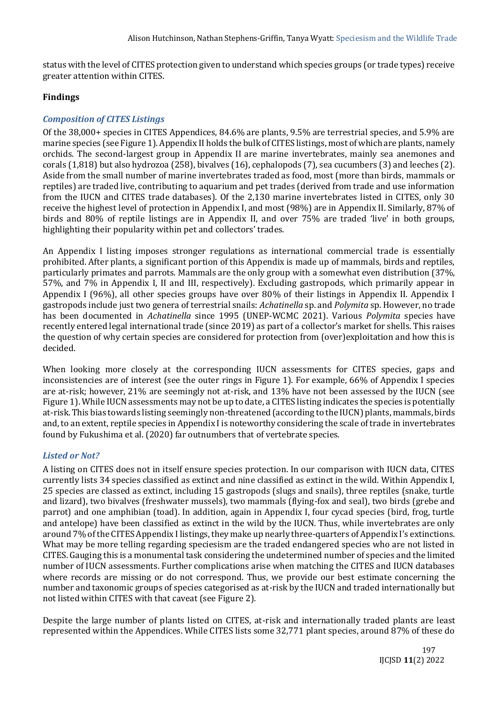status with the level of CITES protection given to understand which species groups (or trade types) receive greater attention within CITES.

### **Findings**

# *Composition of CITES Listings*

Of the 38,000+ species in CITES Appendices, 84.6% are plants, 9.5% are terrestrial species, and 5.9% are marine species (see Figure 1). Appendix II holds the bulk of CITES listings, most of which are plants, namely orchids. The second-largest group in Appendix II are marine invertebrates, mainly sea anemones and corals (1,818) but also hydrozoa (258), bivalves (16), cephalopods (7), sea cucumbers (3) and leeches (2). Aside from the small number of marine invertebrates traded as food, most (more than birds, mammals or reptiles) are traded live, contributing to aquarium and pet trades (derived from trade and use information from the IUCN and CITES trade databases). Of the 2,130 marine invertebrates listed in CITES, only 30 receive the highest level of protection in Appendix I, and most (98%) are in Appendix II. Similarly, 87% of birds and 80% of reptile listings are in Appendix II, and over 75% are traded 'live' in both groups, highlighting their popularity within pet and collectors' trades.

An Appendix I listing imposes stronger regulations as international commercial trade is essentially prohibited. After plants, a significant portion of this Appendix is made up of mammals, birds and reptiles, particularly primates and parrots. Mammals are the only group with a somewhat even distribution (37%, 57%, and 7% in Appendix I, II and III, respectively). Excluding gastropods, which primarily appear in Appendix I (96%), all other species groups have over 80% of their listings in Appendix II. Appendix I gastropods include just two genera of terrestrial snails: *Achatinella* sp. and *Polymita* sp. However, no trade has been documented in *Achatinella* since 1995 (UNEP-WCMC 2021). Various *Polymita* species have recently entered legal international trade (since 2019) as part of a collector's market for shells. This raises the question of why certain species are considered for protection from (over)exploitation and how this is decided.

When looking more closely at the corresponding IUCN assessments for CITES species, gaps and inconsistencies are of interest (see the outer rings in Figure 1). For example, 66% of Appendix I species are at-risk; however, 21% are seemingly not at-risk, and 13% have not been assessed by the IUCN (see Figure 1). While IUCN assessments may not be up to date, a CITES listing indicates the species is potentially at-risk. This bias towards listing seemingly non-threatened (according to the IUCN) plants, mammals, birds and, to an extent, reptile species in Appendix I is noteworthy considering the scale of trade in invertebrates found by Fukushima et al. (2020) far outnumbers that of vertebrate species.

### *Listed or Not?*

A listing on CITES does not in itself ensure species protection. In our comparison with IUCN data, CITES currently lists 34 species classified as extinct and nine classified as extinct in the wild. Within Appendix I, 25 species are classed as extinct, including 15 gastropods (slugs and snails), three reptiles (snake, turtle and lizard), two bivalves (freshwater mussels), two mammals (flying-fox and seal), two birds (grebe and parrot) and one amphibian (toad). In addition, again in Appendix I, four cycad species (bird, frog, turtle and antelope) have been classified as extinct in the wild by the IUCN. Thus, while invertebrates are only around 7% of the CITES Appendix I listings, they make up nearly three-quarters of Appendix I's extinctions. What may be more telling regarding speciesism are the traded endangered species who are not listed in CITES. Gauging this is a monumental task considering the undetermined number of species and the limited number of IUCN assessments. Further complications arise when matching the CITES and IUCN databases where records are missing or do not correspond. Thus, we provide our best estimate concerning the number and taxonomic groups of species categorised as at-risk by the IUCN and traded internationally but not listed within CITES with that caveat (see Figure 2).

Despite the large number of plants listed on CITES, at-risk and internationally traded plants are least represented within the Appendices. While CITES lists some 32,771 plant species, around 87% of these do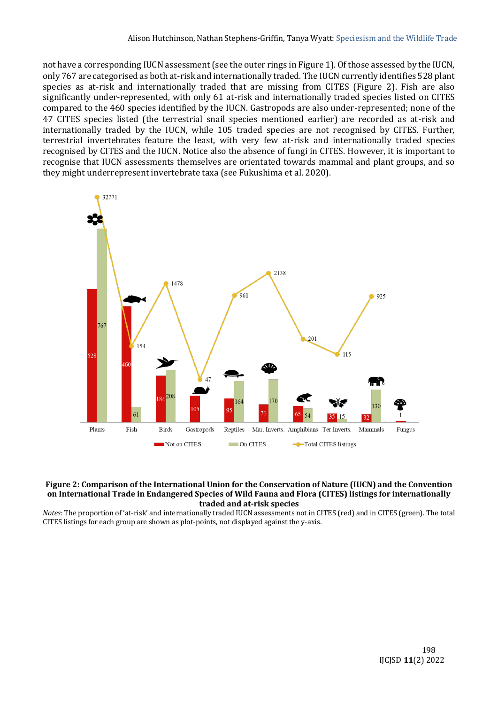not have a corresponding IUCN assessment (see the outer rings in Figure 1). Of those assessed by the IUCN, only 767 are categorised as both at-risk and internationally traded. The IUCN currently identifies 528 plant species as at-risk and internationally traded that are missing from CITES (Figure 2). Fish are also significantly under-represented, with only 61 at-risk and internationally traded species listed on CITES compared to the 460 species identified by the IUCN. Gastropods are also under-represented; none of the 47 CITES species listed (the terrestrial snail species mentioned earlier) are recorded as at-risk and internationally traded by the IUCN, while 105 traded species are not recognised by CITES. Further, terrestrial invertebrates feature the least, with very few at-risk and internationally traded species recognised by CITES and the IUCN. Notice also the absence of fungi in CITES. However, it is important to recognise that IUCN assessments themselves are orientated towards mammal and plant groups, and so they might underrepresent invertebrate taxa (see Fukushima et al. 2020).



#### **Figure 2: Comparison of the International Union for the Conservation of Nature (IUCN) and the Convention on International Trade in Endangered Species of Wild Fauna and Flora (CITES) listings for internationally traded and at-risk species**

*Notes:* The proportion of 'at-risk' and internationally traded IUCN assessments not in CITES (red) and in CITES (green). The total CITES listings for each group are shown as plot-points, not displayed against the y-axis.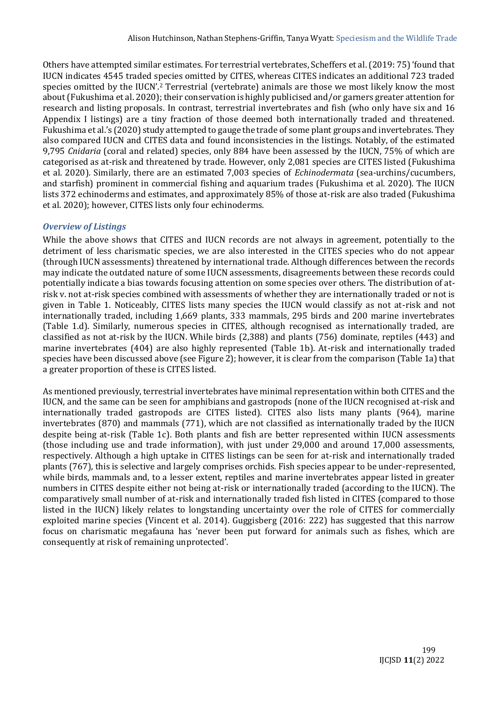Others have attempted similar estimates. For terrestrial vertebrates, Scheffers et al. (2019: 75) 'found that IUCN indicates 4545 traded species omitted by CITES, whereas CITES indicates an additional 723 traded species omitted by the IUCN'.<sup>2</sup> Terrestrial (vertebrate) animals are those we most likely know the most about (Fukushima et al. 2020); their conservation is highly publicised and/or garners greater attention for research and listing proposals. In contrast, terrestrial invertebrates and fish (who only have six and 16 Appendix I listings) are a tiny fraction of those deemed both internationally traded and threatened. Fukushima et al.'s (2020) study attempted to gauge the trade of some plant groups and invertebrates. They also compared IUCN and CITES data and found inconsistencies in the listings. Notably, of the estimated 9,795 *Cnidaria* (coral and related) species, only 884 have been assessed by the IUCN, 75% of which are categorised as at-risk and threatened by trade. However, only 2,081 species are CITES listed (Fukushima et al. 2020). Similarly, there are an estimated 7,003 species of *Echinodermata* (sea-urchins/cucumbers, and starfish) prominent in commercial fishing and aquarium trades (Fukushima et al. 2020). The IUCN lists 372 echinoderms and estimates, and approximately 85% of those at-risk are also traded (Fukushima et al. 2020); however, CITES lists only four echinoderms.

### *Overview of Listings*

While the above shows that CITES and IUCN records are not always in agreement, potentially to the detriment of less charismatic species, we are also interested in the CITES species who do not appear (through IUCN assessments) threatened by international trade. Although differences between the records may indicate the outdated nature of some IUCN assessments, disagreements between these records could potentially indicate a bias towards focusing attention on some species over others. The distribution of atrisk v. not at-risk species combined with assessments of whether they are internationally traded or not is given in Table 1. Noticeably, CITES lists many species the IUCN would classify as not at-risk and not internationally traded, including 1,669 plants, 333 mammals, 295 birds and 200 marine invertebrates (Table 1.d). Similarly, numerous species in CITES, although recognised as internationally traded, are classified as not at-risk by the IUCN. While birds (2,388) and plants (756) dominate, reptiles (443) and marine invertebrates (404) are also highly represented (Table 1b). At-risk and internationally traded species have been discussed above (see Figure 2); however, it is clear from the comparison (Table 1a) that a greater proportion of these is CITES listed.

As mentioned previously, terrestrial invertebrates have minimal representation within both CITES and the IUCN, and the same can be seen for amphibians and gastropods (none of the IUCN recognised at-risk and internationally traded gastropods are CITES listed). CITES also lists many plants (964), marine invertebrates (870) and mammals (771), which are not classified as internationally traded by the IUCN despite being at-risk (Table 1c). Both plants and fish are better represented within IUCN assessments (those including use and trade information), with just under 29,000 and around 17,000 assessments, respectively. Although a high uptake in CITES listings can be seen for at-risk and internationally traded plants (767), this is selective and largely comprises orchids. Fish species appear to be under-represented, while birds, mammals and, to a lesser extent, reptiles and marine invertebrates appear listed in greater numbers in CITES despite either not being at-risk or internationally traded (according to the IUCN). The comparatively small number of at-risk and internationally traded fish listed in CITES (compared to those listed in the IUCN) likely relates to longstanding uncertainty over the role of CITES for commercially exploited marine species (Vincent et al. 2014). Guggisberg (2016: 222) has suggested that this narrow focus on charismatic megafauna has 'never been put forward for animals such as fishes, which are consequently at risk of remaining unprotected'.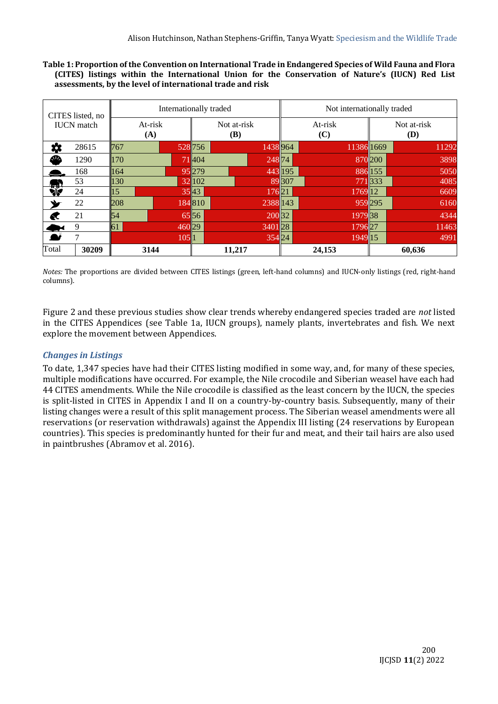**Table 1: Proportion of the Convention on International Trade in Endangered Species of Wild Fauna and Flora (CITES) listings within the International Union for the Conservation of Nature's (IUCN) Red List assessments, by the level of international trade and risk**

| CITES listed, no  |                | Internationally traded    | Not internationally traded |                    |  |
|-------------------|----------------|---------------------------|----------------------------|--------------------|--|
| <b>IUCN</b> match | At-risk<br>(A) | Not at-risk<br><b>(B)</b> | At-risk<br>(C)             | Not at-risk<br>(D) |  |
| ☆<br>28615        | 767            | 528 756<br>1438 964       | 113861669                  | 11292              |  |
| ₾<br>1290         | <b>170</b>     | 71404<br>24874            |                            | 3898<br>870 200    |  |
| 168               | 164            | 95 279                    | 443 195                    | 5050<br>886 155    |  |
| 53                | 130            | 32 102                    | 89 307                     | 771333<br>4085     |  |
| 绿<br>24           | 15             | 3543<br>17621             | 176912                     | 6609               |  |
| 22                | 208            | 184810<br>2388 143        |                            | 959295<br>6160     |  |
| 21<br>€           | 54             | 65 56<br>200 32           | 197938                     | 4344               |  |
| 9                 | 61             | 46029<br>340128           | 179627                     | 11463              |  |
| 7                 | 1051           | 354 24                    | 1949 15                    | 4991               |  |
| Total<br>30209    | 3144           | 11,217                    | 24,153                     | 60,636             |  |

*Notes:* The proportions are divided between CITES listings (green, left-hand columns) and IUCN-only listings (red, right-hand columns).

Figure 2 and these previous studies show clear trends whereby endangered species traded are *not* listed in the CITES Appendices (see Table 1a, IUCN groups), namely plants, invertebrates and fish. We next explore the movement between Appendices.

# *Changes in Listings*

To date, 1,347 species have had their CITES listing modified in some way, and, for many of these species, multiple modifications have occurred. For example, the Nile crocodile and Siberian weasel have each had 44 CITES amendments. While the Nile crocodile is classified as the least concern by the IUCN, the species is split-listed in CITES in Appendix I and II on a country-by-country basis. Subsequently, many of their listing changes were a result of this split management process. The Siberian weasel amendments were all reservations (or reservation withdrawals) against the Appendix III listing (24 reservations by European countries). This species is predominantly hunted for their fur and meat, and their tail hairs are also used in paintbrushes (Abramov et al. 2016).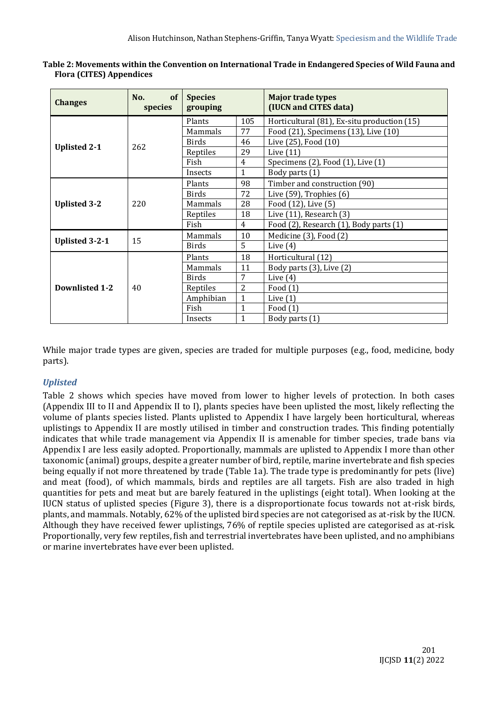| <b>Changes</b>        | of<br>No.<br>species | <b>Species</b><br>grouping |                | <b>Major trade types</b><br>(IUCN and CITES data) |
|-----------------------|----------------------|----------------------------|----------------|---------------------------------------------------|
|                       |                      | Plants                     | 105            | Horticultural (81), Ex-situ production (15)       |
|                       | 262                  | Mammals                    | 77             | Food (21), Specimens (13), Live (10)              |
|                       |                      | <b>Birds</b>               | 46             | Live (25), Food (10)                              |
| <b>Uplisted 2-1</b>   |                      | Reptiles                   | 29             | Live $(11)$                                       |
|                       |                      | Fish                       | 4              | Specimens (2), Food (1), Live (1)                 |
|                       |                      | Insects                    | $\mathbf{1}$   | Body parts (1)                                    |
|                       |                      | Plants                     | 98             | Timber and construction (90)                      |
|                       | 220                  | <b>Birds</b>               | 72             | Live $(59)$ , Trophies $(6)$                      |
| <b>Uplisted 3-2</b>   |                      | Mammals                    | 28             | Food (12), Live (5)                               |
|                       |                      | Reptiles                   | 18             | Live $(11)$ , Research $(3)$                      |
|                       |                      | Fish                       | $\overline{4}$ | Food (2), Research (1), Body parts (1)            |
|                       |                      | Mammals                    | 10             | Medicine (3), Food (2)                            |
| <b>Uplisted 3-2-1</b> | 15                   | Birds                      | 5              | Live $(4)$                                        |
|                       |                      | Plants                     | 18             | Horticultural (12)                                |
|                       | 40                   | Mammals                    | 11             | Body parts (3), Live (2)                          |
|                       |                      | <b>Birds</b>               | 7              | Live $(4)$                                        |
| <b>Downlisted 1-2</b> |                      | Reptiles                   | $\overline{2}$ | Food $(1)$                                        |
|                       |                      | Amphibian                  | $\mathbf{1}$   | Live $(1)$                                        |
|                       |                      | Fish                       | $\mathbf{1}$   | Food $(1)$                                        |
|                       |                      | Insects                    | $\mathbf{1}$   | Body parts (1)                                    |

| Table 2: Movements within the Convention on International Trade in Endangered Species of Wild Fauna and |
|---------------------------------------------------------------------------------------------------------|
| <b>Flora (CITES) Appendices</b>                                                                         |

While major trade types are given, species are traded for multiple purposes (e.g., food, medicine, body parts).

# *Uplisted*

Table 2 shows which species have moved from lower to higher levels of protection. In both cases (Appendix III to II and Appendix II to I), plants species have been uplisted the most, likely reflecting the volume of plants species listed. Plants uplisted to Appendix I have largely been horticultural, whereas uplistings to Appendix II are mostly utilised in timber and construction trades. This finding potentially indicates that while trade management via Appendix II is amenable for timber species, trade bans via Appendix I are less easily adopted. Proportionally, mammals are uplisted to Appendix I more than other taxonomic (animal) groups, despite a greater number of bird, reptile, marine invertebrate and fish species being equally if not more threatened by trade (Table 1a). The trade type is predominantly for pets (live) and meat (food), of which mammals, birds and reptiles are all targets. Fish are also traded in high quantities for pets and meat but are barely featured in the uplistings (eight total). When looking at the IUCN status of uplisted species (Figure 3), there is a disproportionate focus towards not at-risk birds, plants, and mammals. Notably, 62% of the uplisted bird species are not categorised as at-risk by the IUCN. Although they have received fewer uplistings, 76% of reptile species uplisted are categorised as at-risk. Proportionally, very few reptiles, fish and terrestrial invertebrates have been uplisted, and no amphibians or marine invertebrates have ever been uplisted.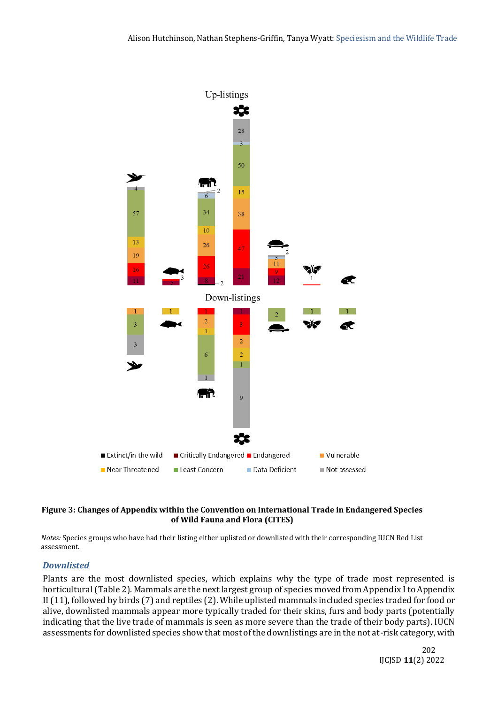

#### **Figure 3: Changes of Appendix within the Convention on International Trade in Endangered Species of Wild Fauna and Flora (CITES)**

*Notes:* Species groups who have had their listing either uplisted or downlisted with their corresponding IUCN Red List assessment.

### *Downlisted*

Plants are the most downlisted species, which explains why the type of trade most represented is horticultural (Table 2). Mammals are the next largest group of species moved from Appendix I to Appendix II (11), followed by birds (7) and reptiles (2). While uplisted mammals included species traded for food or alive, downlisted mammals appear more typically traded for their skins, furs and body parts (potentially indicating that the live trade of mammals is seen as more severe than the trade of their body parts). IUCN assessments for downlisted species show that most of the downlistings are in the not at-risk category, with

 202 IJCJSD **11**(2) 2022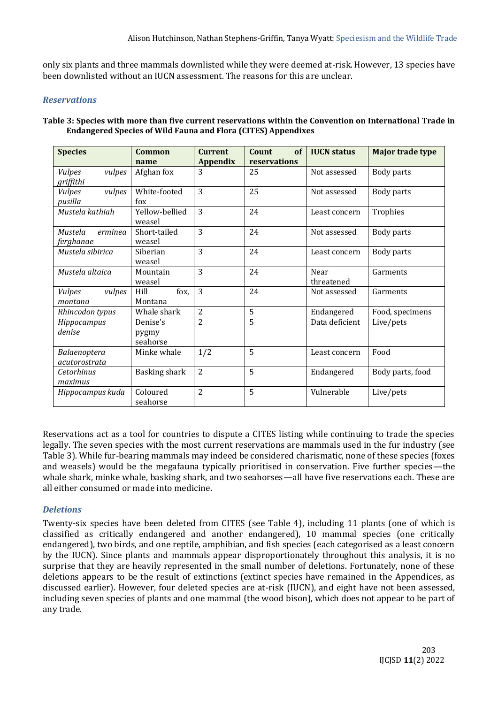only six plants and three mammals downlisted while they were deemed at-risk. However, 13 species have been downlisted without an IUCN assessment. The reasons for this are unclear.

#### *Reservations*

#### **Table 3: Species with more than five current reservations within the Convention on International Trade in Endangered Species of Wild Fauna and Flora (CITES) Appendixes**

| <b>Species</b>                       | <b>Common</b>                 | <b>Current</b>  | Count<br>of  | <b>IUCN</b> status | Major trade type |
|--------------------------------------|-------------------------------|-----------------|--------------|--------------------|------------------|
|                                      | name                          | <b>Appendix</b> | reservations |                    |                  |
| vulpes<br><b>Vulpes</b><br>griffithi | Afghan fox                    | 3               | 25           | Not assessed       | Body parts       |
| vulpes<br><b>Vulpes</b><br>pusilla   | White-footed<br>fox           | $\overline{3}$  | 25           | Not assessed       | Body parts       |
| Mustela kathiah                      | Yellow-bellied<br>weasel      | 3               | 24           | Least concern      | Trophies         |
| Mustela<br>erminea<br>ferghanae      | Short-tailed<br>weasel        | 3               | 24           | Not assessed       | Body parts       |
| Mustela sibirica                     | Siberian<br>weasel            | 3               | 24           | Least concern      | Body parts       |
| Mustela altaica                      | Mountain<br>weasel            | 3               | 24           | Near<br>threatened | Garments         |
| vulpes<br><b>Vulpes</b><br>montana   | Hill<br>fox,<br>Montana       | $\overline{3}$  | 24           | Not assessed       | Garments         |
| Rhincodon typus                      | Whale shark                   | $\overline{2}$  | 5            | Endangered         | Food, specimens  |
| Hippocampus<br>denise                | Denise's<br>pygmy<br>seahorse | $\overline{2}$  | 5            | Data deficient     | Live/pets        |
| Balaenoptera<br>acutorostrata        | Minke whale                   | 1/2             | 5            | Least concern      | Food             |
| Cetorhinus<br>maximus                | Basking shark                 | $\overline{2}$  | 5            | Endangered         | Body parts, food |
| Hippocampus kuda                     | Coloured<br>seahorse          | $\overline{2}$  | 5            | Vulnerable         | Live/pets        |

Reservations act as a tool for countries to dispute a CITES listing while continuing to trade the species legally. The seven species with the most current reservations are mammals used in the fur industry (see Table 3). While fur-bearing mammals may indeed be considered charismatic, none of these species (foxes and weasels) would be the megafauna typically prioritised in conservation. Five further species—the whale shark, minke whale, basking shark, and two seahorses—all have five reservations each. These are all either consumed or made into medicine.

### *Deletions*

Twenty-six species have been deleted from CITES (see Table 4), including 11 plants (one of which is classified as critically endangered and another endangered), 10 mammal species (one critically endangered), two birds, and one reptile, amphibian, and fish species (each categorised as a least concern by the IUCN). Since plants and mammals appear disproportionately throughout this analysis, it is no surprise that they are heavily represented in the small number of deletions. Fortunately, none of these deletions appears to be the result of extinctions (extinct species have remained in the Appendices, as discussed earlier). However, four deleted species are at-risk (IUCN), and eight have not been assessed, including seven species of plants and one mammal (the wood bison), which does not appear to be part of any trade.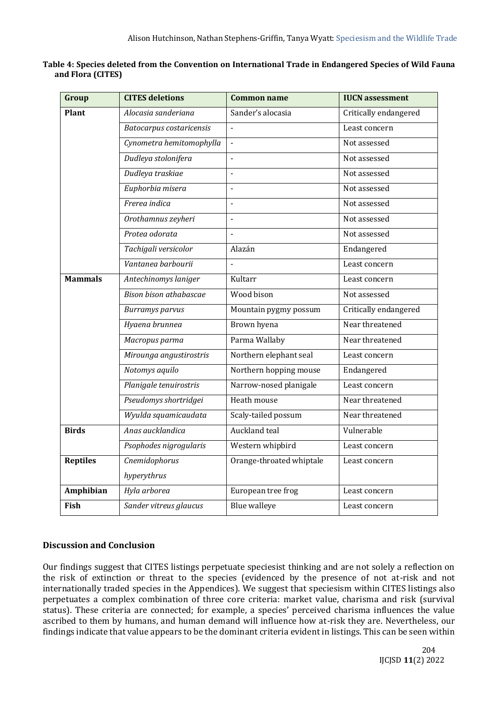| Group            | <b>CITES deletions</b>   | <b>Common name</b>       | <b>IUCN</b> assessment |
|------------------|--------------------------|--------------------------|------------------------|
| Plant            | Alocasia sanderiana      | Sander's alocasia        | Critically endangered  |
|                  | Batocarpus costaricensis |                          | Least concern          |
|                  | Cynometra hemitomophylla | $\overline{a}$           | Not assessed           |
|                  | Dudleya stolonifera      | $\overline{a}$           | Not assessed           |
|                  | Dudleya traskiae         | $\overline{a}$           | Not assessed           |
|                  | Euphorbia misera         | $\overline{a}$           | Not assessed           |
|                  | Frerea indica            | $\overline{a}$           | Not assessed           |
|                  | Orothamnus zeyheri       | $\overline{a}$           | Not assessed           |
|                  | Protea odorata           | $\Box$                   | Not assessed           |
|                  | Tachigali versicolor     | Alazán                   | Endangered             |
|                  | Vantanea barbourii       | $\overline{a}$           | Least concern          |
| <b>Mammals</b>   | Antechinomys laniger     | Kultarr                  | Least concern          |
|                  | Bison bison athabascae   | Wood bison               | Not assessed           |
|                  | <b>Burramys</b> parvus   | Mountain pygmy possum    | Critically endangered  |
|                  | Hyaena brunnea           | Brown hyena              | Near threatened        |
|                  | Macropus parma           | Parma Wallaby            | Near threatened        |
|                  | Mirounga angustirostris  | Northern elephant seal   | Least concern          |
|                  | Notomys aquilo           | Northern hopping mouse   | Endangered             |
|                  | Planigale tenuirostris   | Narrow-nosed planigale   | Least concern          |
|                  | Pseudomys shortridgei    | Heath mouse              | Near threatened        |
|                  | Wyulda squamicaudata     | Scaly-tailed possum      | Near threatened        |
| <b>Birds</b>     | Anas aucklandica         | Auckland teal            | Vulnerable             |
|                  | Psophodes nigrogularis   | Western whipbird         | Least concern          |
| <b>Reptiles</b>  | Cnemidophorus            | Orange-throated whiptale | Least concern          |
|                  | hyperythrus              |                          |                        |
| <b>Amphibian</b> | Hyla arborea             | European tree frog       | Least concern          |
| Fish             | Sander vitreus glaucus   | <b>Blue walleye</b>      | Least concern          |

**Table 4: Species deleted from the Convention on International Trade in Endangered Species of Wild Fauna and Flora (CITES)**

# **Discussion and Conclusion**

Our findings suggest that CITES listings perpetuate speciesist thinking and are not solely a reflection on the risk of extinction or threat to the species (evidenced by the presence of not at-risk and not internationally traded species in the Appendices). We suggest that speciesism within CITES listings also perpetuates a complex combination of three core criteria: market value, charisma and risk (survival status). These criteria are connected; for example, a species' perceived charisma influences the value ascribed to them by humans, and human demand will influence how at-risk they are. Nevertheless, our findings indicate that value appears to be the dominant criteria evident in listings. This can be seen within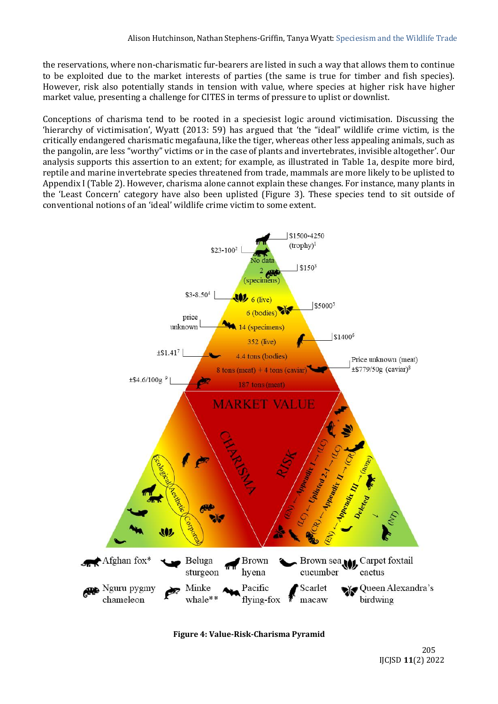the reservations, where non-charismatic fur-bearers are listed in such a way that allows them to continue to be exploited due to the market interests of parties (the same is true for timber and fish species). However, risk also potentially stands in tension with value, where species at higher risk have higher market value, presenting a challenge for CITES in terms of pressure to uplist or downlist.

Conceptions of charisma tend to be rooted in a speciesist logic around victimisation. Discussing the 'hierarchy of victimisation', Wyatt (2013: 59) has argued that 'the "ideal" wildlife crime victim, is the critically endangered charismatic megafauna, like the tiger, whereas other less appealing animals, such as the pangolin, are less "worthy" victims or in the case of plants and invertebrates, invisible altogether'. Our analysis supports this assertion to an extent; for example, as illustrated in Table 1a, despite more bird, reptile and marine invertebrate species threatened from trade, mammals are more likely to be uplisted to Appendix I (Table 2). However, charisma alone cannot explain these changes. For instance, many plants in the 'Least Concern' category have also been uplisted (Figure 3). These species tend to sit outside of conventional notions of an 'ideal' wildlife crime victim to some extent.

![](_page_14_Figure_3.jpeg)

**Figure 4: Value-Risk-Charisma Pyramid**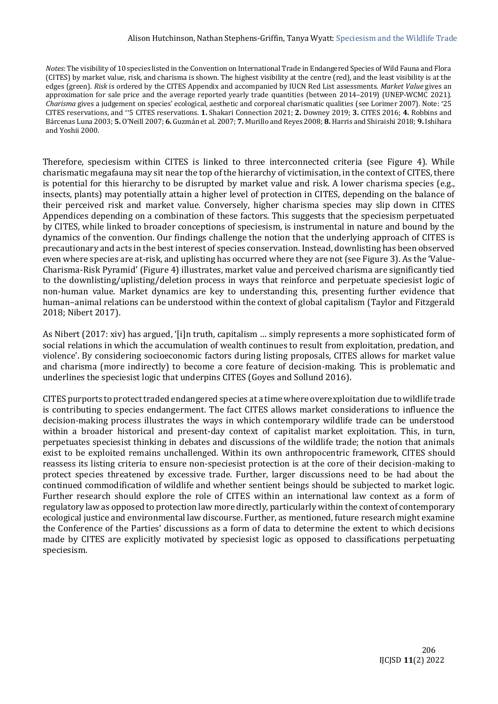#### Alison Hutchinson, Nathan Stephens-Griffin, Tanya Wyatt: Speciesism and the Wildlife Trade

*Notes:* The visibility of 10 species listed in the Convention on International Trade in Endangered Species of Wild Fauna and Flora (CITES) by market value, risk, and charisma is shown. The highest visibility at the centre (red), and the least visibility is at the edges (green). *Risk* is ordered by the CITES Appendix and accompanied by IUCN Red List assessments. *Market Value* gives an approximation for sale price and the average reported yearly trade quantities (between 2014–2019) (UNEP-WCMC 2021). *Charisma* gives a judgement on species' ecological, aesthetic and corporeal charismatic qualities (see Lorimer 2007). Note: \*25 CITES reservations, and \*\*5 CITES reservations. **1.** Shakari Connection 2021; **2.** Downey 2019; **3.** CITES 2016; **4.** Robbins and Bárcenas Luna 2003; **5.** O'Neill 2007; **6.** Guzmán et al. 2007; **7.** Murillo and Reyes 2008; **8.** Harris and Shiraishi 2018; **9.** Ishihara and Yoshii 2000.

Therefore, speciesism within CITES is linked to three interconnected criteria (see Figure 4). While charismatic megafauna may sit near the top of the hierarchy of victimisation, in the context of CITES, there is potential for this hierarchy to be disrupted by market value and risk. A lower charisma species (e.g., insects, plants) may potentially attain a higher level of protection in CITES, depending on the balance of their perceived risk and market value. Conversely, higher charisma species may slip down in CITES Appendices depending on a combination of these factors. This suggests that the speciesism perpetuated by CITES, while linked to broader conceptions of speciesism, is instrumental in nature and bound by the dynamics of the convention. Our findings challenge the notion that the underlying approach of CITES is precautionary and acts in the best interest of species conservation. Instead, downlisting has been observed even where species are at-risk, and uplisting has occurred where they are not (see Figure 3). As the 'Value-Charisma-Risk Pyramid' (Figure 4) illustrates, market value and perceived charisma are significantly tied to the downlisting/uplisting/deletion process in ways that reinforce and perpetuate speciesist logic of non-human value. Market dynamics are key to understanding this, presenting further evidence that human–animal relations can be understood within the context of global capitalism (Taylor and Fitzgerald 2018; Nibert 2017).

As Nibert (2017: xiv) has argued, '[i]n truth, capitalism … simply represents a more sophisticated form of social relations in which the accumulation of wealth continues to result from exploitation, predation, and violence'. By considering socioeconomic factors during listing proposals, CITES allows for market value and charisma (more indirectly) to become a core feature of decision-making. This is problematic and underlines the speciesist logic that underpins CITES (Goyes and Sollund 2016).

CITES purports to protect traded endangered species at a time where overexploitation due to wildlife trade is contributing to species endangerment. The fact CITES allows market considerations to influence the decision-making process illustrates the ways in which contemporary wildlife trade can be understood within a broader historical and present-day context of capitalist market exploitation. This, in turn, perpetuates speciesist thinking in debates and discussions of the wildlife trade; the notion that animals exist to be exploited remains unchallenged. Within its own anthropocentric framework, CITES should reassess its listing criteria to ensure non-speciesist protection is at the core of their decision-making to protect species threatened by excessive trade. Further, larger discussions need to be had about the continued commodification of wildlife and whether sentient beings should be subjected to market logic. Further research should explore the role of CITES within an international law context as a form of regulatory law as opposed to protection law more directly, particularly within the context of contemporary ecological justice and environmental law discourse. Further, as mentioned, future research might examine the Conference of the Parties' discussions as a form of data to determine the extent to which decisions made by CITES are explicitly motivated by speciesist logic as opposed to classifications perpetuating speciesism.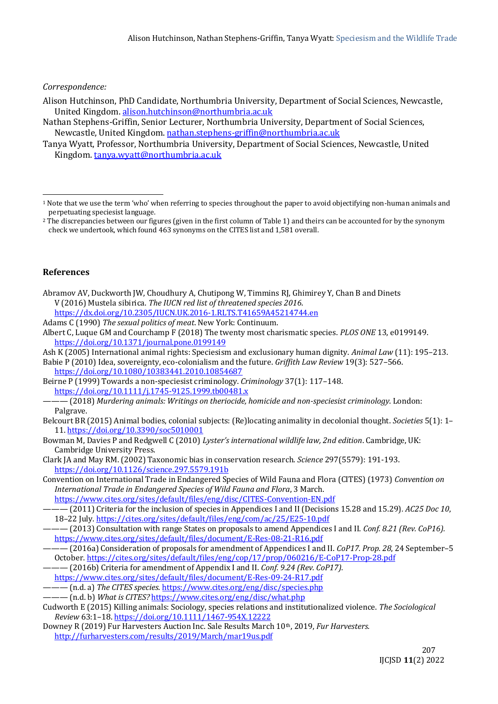### *Correspondence:*

- Alison Hutchinson, PhD Candidate, Northumbria University, Department of Social Sciences, Newcastle, United Kingdom. [alison.hutchinson@northumbria.ac.uk](mailto:alison.hutchinson@northumbria.ac.uk)
- Nathan Stephens-Griffin, Senior Lecturer, Northumbria University, Department of Social Sciences, Newcastle, United Kingdom. [nathan.stephens-griffin@northumbria.ac.uk](mailto:nathan.stephens-griffin@northumbria.ac.uk)
- Tanya Wyatt, Professor, Northumbria University, Department of Social Sciences, Newcastle, United Kingdom. [tanya.wyatt@northumbria.ac.uk](mailto:tanya.wyatt@northumbria.ac.uk)

#### **References**

- Abramov AV, Duckworth JW, Choudhury A, Chutipong W, Timmins RJ, Ghimirey Y, Chan B and Dinets V (2016) Mustela sibirica. *The IUCN red list of threatened species 2016*. <https://dx.doi.org/10.2305/IUCN.UK.2016-1.RLTS.T41659A45214744.en>
- Adams C (1990) *The sexual politics of meat*. New York: Continuum.
- Albert C, Luque GM and Courchamp F (2018) The twenty most charismatic species. *PLOS ONE* 13, e0199149. <https://doi.org/10.1371/journal.pone.0199149>
- Ash K (2005) International animal rights: Speciesism and exclusionary human dignity. *Animal Law* (11): 195–213.

Babie P (2010) Idea, sovereignty, eco-colonialism and the future. *Griffith Law Review* 19(3): 527–566. <https://doi.org/10.1080/10383441.2010.10854687>

Beirne P (1999) Towards a non-speciesist criminology. *Criminology* 37(1): 117–148. <https://doi.org/10.1111/j.1745-9125.1999.tb00481.x>

- ——— (2018) *Murdering animals: Writings on theriocide, homicide and non-speciesist criminology*. London: Palgrave.
- Belcourt BR (2015) Animal bodies, colonial subjects: (Re)locating animality in decolonial thought. *Societies* 5(1): 1– 11. <https://doi.org/10.3390/soc5010001>
- Bowman M, Davies P and Redgwell C (2010) *Lyster's international wildlife law, 2nd edition*. Cambridge, UK: Cambridge University Press.
- Clark JA and May RM. (2002) Taxonomic bias in conservation research. *Science* 297(5579): 191-193. <https://doi.org/10.1126/science.297.5579.191b>
- Convention on International Trade in Endangered Species of Wild Fauna and Flora (CITES) (1973) *Convention on International Trade in Endangered Species of Wild Fauna and Flora*, 3 March.
	- <https://www.cites.org/sites/default/files/eng/disc/CITES-Convention-EN.pdf>

- ——— (2013) Consultation with range States on proposals to amend Appendices I and II. *Conf. 8.21 (Rev. CoP16).*  <https://www.cites.org/sites/default/files/document/E-Res-08-21-R16.pdf>
- ——— (2016a) Consideration of proposals for amendment of Appendices I and II. *CoP17. Prop. 28*, 24 September–5 October[. https://cites.org/sites/default/files/eng/cop/17/prop/060216/E-CoP17-Prop-28.pdf](https://cites.org/sites/default/files/eng/cop/17/prop/060216/E-CoP17-Prop-28.pdf)

——— (2016b) Criteria for amendment of Appendix I and II. *Conf. 9.24 (Rev. CoP17).*  <https://www.cites.org/sites/default/files/document/E-Res-09-24-R17.pdf>

- ——— (n.d. a) *The CITES species*[. https://www.cites.org/eng/disc/species.php](https://www.cites.org/eng/disc/species.php)
- ——— (n.d. b) *What is CITES?* <https://www.cites.org/eng/disc/what.php>

Downey R (2019) Fur Harvesters Auction Inc. Sale Results March 10th, 2019, *Fur Harvesters.* <http://furharvesters.com/results/2019/March/mar19us.pdf>

<sup>1</sup> Note that we use the term 'who' when referring to species throughout the paper to avoid objectifying non-human animals and perpetuating speciesist language.

<sup>&</sup>lt;sup>2</sup> The discrepancies between our figures (given in the first column of Table 1) and theirs can be accounted for by the synonym check we undertook, which found 463 synonyms on the CITES list and 1,581 overall.

<sup>———</sup> (2011) Criteria for the inclusion of species in Appendices I and II (Decisions 15.28 and 15.29)*. AC25 Doc 10*, 18–22 July.<https://cites.org/sites/default/files/eng/com/ac/25/E25-10.pdf>

Cudworth E (2015) Killing animals: Sociology, species relations and institutionalized violence. *The Sociological Review* 63:1–18[. https://doi.org/10.1111/1467-954X.12222](https://doi.org/10.1111/1467-954X.12222)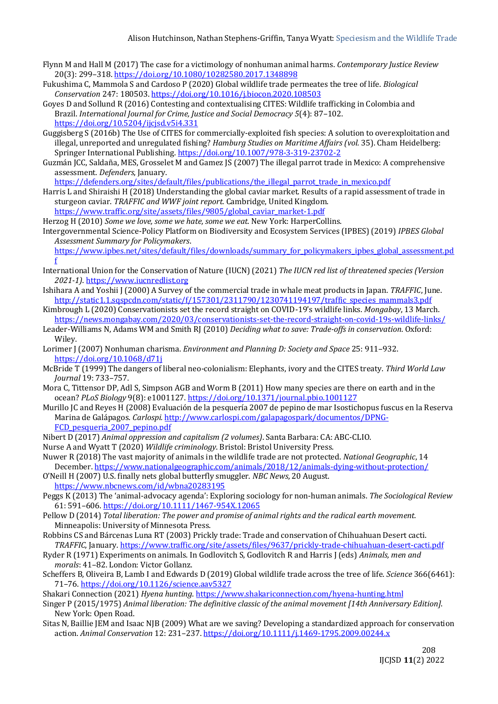- Flynn M and Hall M (2017) The case for a victimology of nonhuman animal harms. *Contemporary Justice Review* 20(3): 299–318.<https://doi.org/10.1080/10282580.2017.1348898>
- Fukushima C, Mammola S and Cardoso P (2020) Global wildlife trade permeates the tree of life. *Biological Conservation* 247: 180503[. https://doi.org/10.1016/j.biocon.2020.108503](https://doi.org/10.1016/j.biocon.2020.108503)
- Goyes D and Sollund R (2016) Contesting and contextualising CITES: Wildlife trafficking in Colombia and Brazil. *International Journal for Crime, Justice and Social Democracy 5*(4): 87–102. <https://doi.org/10.5204/ijcjsd.v5i4.331>
- Guggisberg S (2016b) The Use of CITES for commercially-exploited fish species: A solution to overexploitation and illegal, unreported and unregulated fishing? *Hamburg Studies on Maritime Affairs (vol.* 35). Cham Heidelberg: Springer International Publishing[. https://doi.org/10.1007/978-3-319-23702-2](https://doi.org/10.1007/978-3-319-23702-2)
- Guzmán JCC, Saldaña, MES, Grosselet M and Gamez JS (2007) The illegal parrot trade in Mexico: A comprehensive assessment. *Defenders*, January.

[https://defenders.org/sites/default/files/publications/the\\_illegal\\_parrot\\_trade\\_in\\_mexico.pdf](https://defenders.org/sites/default/files/publications/the_illegal_parrot_trade_in_mexico.pdf)

Harris L and Shiraishi H (2018) Understanding the global caviar market. Results of a rapid assessment of trade in sturgeon caviar. *TRAFFIC and WWF joint report.* Cambridge, United Kingdom. [https://www.traffic.org/site/assets/files/9805/global\\_caviar\\_market-1.pdf](https://www.traffic.org/site/assets/files/9805/global_caviar_market-1.pdf)

Herzog H (2010) *Some we love, some we hate, some we eat*. New York: HarperCollins.

Intergovernmental Science-Policy Platform on Biodiversity and Ecosystem Services (IPBES) (2019) *IPBES Global Assessment Summary for Policymakers*.

https://www.ipbes.net/sites/default/files/downloads/summary for policymakers ipbes global assessment.pd [f](https://www.ipbes.net/sites/default/files/downloads/summary_for_policymakers_ipbes_global_assessment.pdf)

- International Union for the Conservation of Nature (IUCN) (2021) *The IUCN red list of threatened species (Version 2021-1)*. [https://www.iucnredlist.org](https://www.iucnredlist.org/)
- Ishihara A and Yoshii J (2000) A Survey of the commercial trade in whale meat products in Japan. *TRAFFIC*, June. [http://static1.1.sqspcdn.com/static/f/157301/2311790/1230741194197/traffic\\_species\\_mammals3.pdf](http://static1.1.sqspcdn.com/static/f/157301/2311790/1230741194197/traffic_species_mammals3.pdf)
- Kimbrough L (2020) Conservationists set the record straight on COVID-19's wildlife links. *Mongabay*, 13 March. <https://news.mongabay.com/2020/03/conservationists-set-the-record-straight-on-covid-19s-wildlife-links/>
- Leader-Williams N, Adams WM and Smith RJ (2010) *Deciding what to save: Trade-offs in conservation*. Oxford: Wiley.
- Lorimer J (2007) Nonhuman charisma. *Environment and Planning D: Society and Space* 25: 911–932. <https://doi.org/10.1068/d71j>
- McBride T (1999) The dangers of liberal neo-colonialism: Elephants, ivory and the CITES treaty. *Third World Law Journal* 19: 733–757.
- Mora C, Tittensor DP, Adl S, Simpson AGB and Worm B (2011) How many species are there on earth and in the ocean? *PLoS Biology* 9(8): e1001127[. https://doi.org/10.1371/journal.pbio.1001127](https://doi.org/10.1371/journal.pbio.1001127)
- Murillo JC and Reyes H (2008) Evaluación de la pesquería 2007 de pepino de mar Isostichopus fuscus en la Reserva Marina de Galápagos. *Carlospi.* [http://www.carlospi.com/galapagospark/documentos/DPNG-](http://www.carlospi.com/galapagospark/documentos/DPNG-FCD_pesqueria_2007_pepino.pdf)[FCD\\_pesqueria\\_2007\\_pepino.pdf](http://www.carlospi.com/galapagospark/documentos/DPNG-FCD_pesqueria_2007_pepino.pdf)
- Nibert D (2017) *Animal oppression and capitalism (2 volumes)*. Santa Barbara: CA: ABC-CLIO.
- Nurse A and Wyatt T (2020) *Wildlife criminology*. Bristol: Bristol University Press.
- Nuwer R (2018) The vast majority of animals in the wildlife trade are not protected. *National Geographic*, 14 December[. https://www.nationalgeographic.com/animals/2018/12/animals-dying-without-protection/](https://www.nationalgeographic.com/animals/2018/12/animals-dying-without-protection/)
- O'Neill H (2007) U.S. finally nets global butterfly smuggler. *NBC News*, 20 August. <https://www.nbcnews.com/id/wbna20283195>
- Peggs K (2013) The 'animal-advocacy agenda': Exploring sociology for non-human animals. *The Sociological Review* 61: 591–606[. https://doi.org/10.1111/1467-954X.12065](https://doi.org/10.1111%2F1467-954X.12065)
- Pellow D (2014) *Total liberation: The power and promise of animal rights and the radical earth movement.*  Minneapolis: University of Minnesota Press.
- Robbins CS and Bárcenas Luna RT (2003) Prickly trade: Trade and conservation of Chihuahuan Desert cacti. *TRAFFIC*, January[. https://www.traffic.org/site/assets/files/9637/prickly-trade-chihuahuan-desert-cacti.pdf](https://www.traffic.org/site/assets/files/9637/prickly-trade-chihuahuan-desert-cacti.pdf)
- Ryder R (1971) Experiments on animals. In Godlovitch S, Godlovitch R and Harris J (eds) *Animals, men and morals*: 41–82. London: Victor Gollanz.
- Scheffers B, Oliveira B, Lamb I and Edwards D (2019) Global wildlife trade across the tree of life. *Science* 366(6461): 71–76[. https://doi.org/10.1126/science.aav5327](https://doi.org/10.1126/science.aav5327)

Shakari Connection (2021) *Hyena hunting*[. https://www.shakariconnection.com/hyena-hunting.html](https://www.shakariconnection.com/hyena-hunting.html)

- Singer P (2015/1975) *Animal liberation: The definitive classic of the animal movement [14th Anniversary Edition]*. New York: Open Road.
- Sitas N, Baillie JEM and Isaac NJB (2009) What are we saving? Developing a standardized approach for conservation action. *Animal Conservation* 12: 231–237[. https://doi.org/10.1111/j.1469-1795.2009.00244.x](https://doi.org/10.1111/j.1469-1795.2009.00244.x)